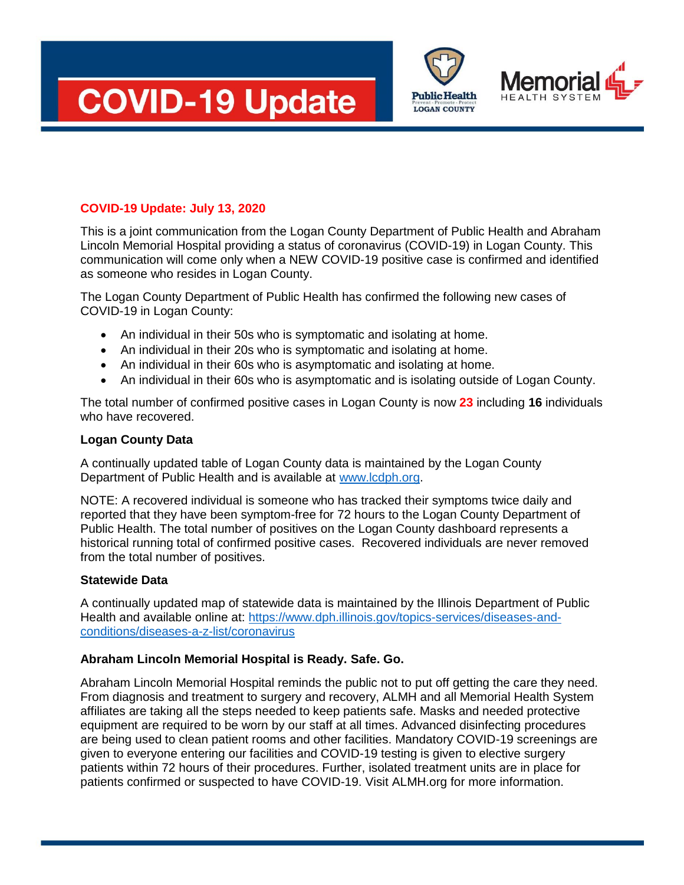





## **COVID-19 Update: July 13, 2020**

This is a joint communication from the Logan County Department of Public Health and Abraham Lincoln Memorial Hospital providing a status of coronavirus (COVID-19) in Logan County. This communication will come only when a NEW COVID-19 positive case is confirmed and identified as someone who resides in Logan County.

The Logan County Department of Public Health has confirmed the following new cases of COVID-19 in Logan County:

- An individual in their 50s who is symptomatic and isolating at home.
- An individual in their 20s who is symptomatic and isolating at home.
- An individual in their 60s who is asymptomatic and isolating at home.
- An individual in their 60s who is asymptomatic and is isolating outside of Logan County.

The total number of confirmed positive cases in Logan County is now **23** including **16** individuals who have recovered.

## **Logan County Data**

A continually updated table of Logan County data is maintained by the Logan County Department of Public Health and is available at [www.lcdph.org.](http://www.lcdph.org/)

NOTE: A recovered individual is someone who has tracked their symptoms twice daily and reported that they have been symptom-free for 72 hours to the Logan County Department of Public Health. The total number of positives on the Logan County dashboard represents a historical running total of confirmed positive cases. Recovered individuals are never removed from the total number of positives.

## **Statewide Data**

A continually updated map of statewide data is maintained by the Illinois Department of Public Health and available online at: [https://www.dph.illinois.gov/topics-services/diseases-and](https://www.dph.illinois.gov/topics-services/diseases-and-conditions/diseases-a-z-list/coronavirus)[conditions/diseases-a-z-list/coronavirus](https://www.dph.illinois.gov/topics-services/diseases-and-conditions/diseases-a-z-list/coronavirus)

## **Abraham Lincoln Memorial Hospital is Ready. Safe. Go.**

Abraham Lincoln Memorial Hospital reminds the public not to put off getting the care they need. From diagnosis and treatment to surgery and recovery, ALMH and all Memorial Health System affiliates are taking all the steps needed to keep patients safe. Masks and needed protective equipment are required to be worn by our staff at all times. Advanced disinfecting procedures are being used to clean patient rooms and other facilities. Mandatory COVID-19 screenings are given to everyone entering our facilities and COVID-19 testing is given to elective surgery patients within 72 hours of their procedures. Further, isolated treatment units are in place for patients confirmed or suspected to have COVID-19. Visit ALMH.org for more information.